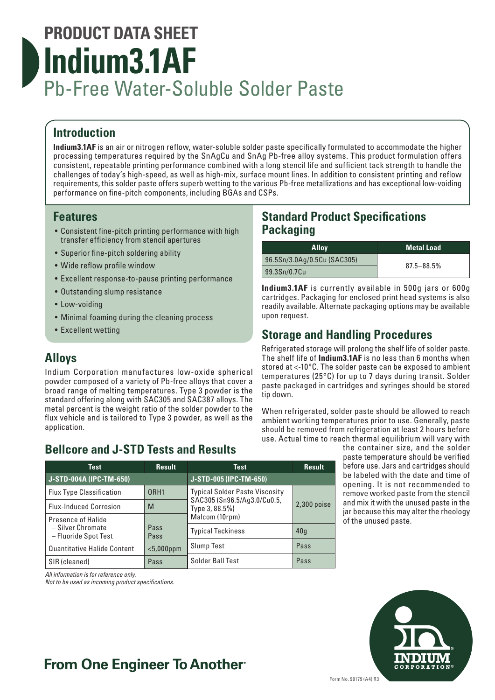# **PRODUCT DATA SHEET Indium3.1AF** Pb-Free Water-Soluble Solder Paste

## **Introduction**

**Indium3.1AF** is an air or nitrogen reflow, water-soluble solder paste specifically formulated to accommodate the higher processing temperatures required by the SnAgCu and SnAg Pb-free alloy systems. This product formulation offers consistent, repeatable printing performance combined with a long stencil life and sufficient tack strength to handle the challenges of today's high-speed, as well as high-mix, surface mount lines. In addition to consistent printing and reflow requirements, this solder paste offers superb wetting to the various Pb-free metallizations and has exceptional low-voiding performance on fine-pitch components, including BGAs and CSPs.

#### **Features**

- Consistent fine-pitch printing performance with high transfer efficiency from stencil apertures
- Superior fine-pitch soldering ability
- Wide reflow profile window
- Excellent response-to-pause printing performance
- Outstanding slump resistance
- Low-voiding
- Minimal foaming during the cleaning process
- Excellent wetting

## **Alloys**

Indium Corporation manufactures low-oxide spherical powder composed of a variety of Pb-free alloys that cover a broad range of melting temperatures. Type 3 powder is the standard offering along with SAC305 and SAC387 alloys. The metal percent is the weight ratio of the solder powder to the flux vehicle and is tailored to Type 3 powder, as well as the application.

## **Bellcore and J-STD Tests and Results**

| Test                                      | <b>Result</b>    | Test                                                                                   | <b>Result</b> |
|-------------------------------------------|------------------|----------------------------------------------------------------------------------------|---------------|
| J-STD-004A (IPC-TM-650)                   |                  | J-STD-005 (IPC-TM-650)                                                                 |               |
| <b>Flux Type Classification</b>           | ORH <sub>1</sub> | <b>Typical Solder Paste Viscosity</b><br>SAC305 (Sn96.5/Ag3.0/Cu0.5,<br>Type 3, 88.5%) |               |
| <b>Flux-Induced Corrosion</b>             | M                |                                                                                        | $2,300$ poise |
| Presence of Halide                        |                  | Malcom (10rpm)                                                                         |               |
| - Silver Chromate<br>- Fluoride Spot Test | Pass<br>Pass     | <b>Typical Tackiness</b>                                                               | 40q           |
| <b>Quantitative Halide Content</b>        | $<$ 5,000ppm     | <b>Slump Test</b>                                                                      | Pass          |
| SIR (cleaned)                             | Pass             | Solder Ball Test                                                                       | Pass          |

*All information is for reference only.* 

*Not to be used as incoming product specifications.*

### **Standard Product Specifications Packaging**

| <b>Allov</b>                | <b>Metal Load</b> |  |
|-----------------------------|-------------------|--|
| 96.5Sn/3.0Ag/0.5Cu (SAC305) | $87.5 - 88.5%$    |  |
| 99.3Sn/0.7Cu                |                   |  |

**Indium3.1AF** is currently available in 500g jars or 600g cartridges. Packaging for enclosed print head systems is also readily available. Alternate packaging options may be available upon request.

## **Storage and Handling Procedures**

Refrigerated storage will prolong the shelf life of solder paste. The shelf life of **Indium3.1AF** is no less than 6 months when stored at <-10°C. The solder paste can be exposed to ambient temperatures (25°C) for up to 7 days during transit. Solder paste packaged in cartridges and syringes should be stored tip down.

When refrigerated, solder paste should be allowed to reach ambient working temperatures prior to use. Generally, paste should be removed from refrigeration at least 2 hours before use. Actual time to reach thermal equilibrium will vary with

> the container size, and the solder paste temperature should be verified before use. Jars and cartridges should be labeled with the date and time of opening. It is not recommended to remove worked paste from the stencil and mix it with the unused paste in the jar because this may alter the rheology of the unused paste.



## **From One Engineer To Another**